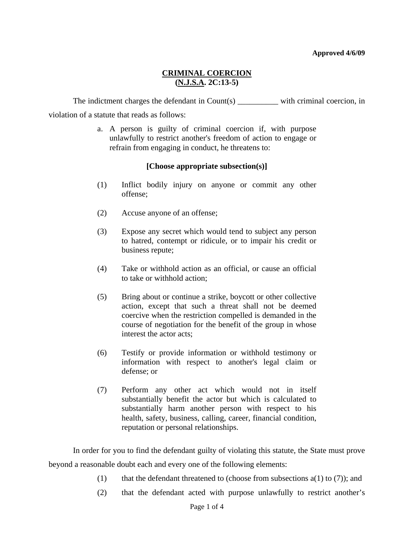# **CRIMINAL COERCION (N.J.S.A. 2C:13-5)**

The indictment charges the defendant in  $Count(s)$  with criminal coercion, in violation of a statute that reads as follows:

> a. A person is guilty of criminal coercion if, with purpose unlawfully to restrict another's freedom of action to engage or refrain from engaging in conduct, he threatens to:

## **[Choose appropriate subsection(s)]**

- (1) Inflict bodily injury on anyone or commit any other offense;
- (2) Accuse anyone of an offense;
- (3) Expose any secret which would tend to subject any person to hatred, contempt or ridicule, or to impair his credit or business repute;
- (4) Take or withhold action as an official, or cause an official to take or withhold action;
- (5) Bring about or continue a strike, boycott or other collective action, except that such a threat shall not be deemed coercive when the restriction compelled is demanded in the course of negotiation for the benefit of the group in whose interest the actor acts;
- (6) Testify or provide information or withhold testimony or information with respect to another's legal claim or defense; or
- (7) Perform any other act which would not in itself substantially benefit the actor but which is calculated to substantially harm another person with respect to his health, safety, business, calling, career, financial condition, reputation or personal relationships.

<span id="page-0-0"></span>In order for you to find the defendant guilty of violating this statute, the State must prove beyond a reasonable doubt each and every one of the following elements:

- (1) that the defendant threatened to (choose from subsections  $a(1)$  to (7)); and
- (2) that the defendant acted with purpose unlawfully to restrict another's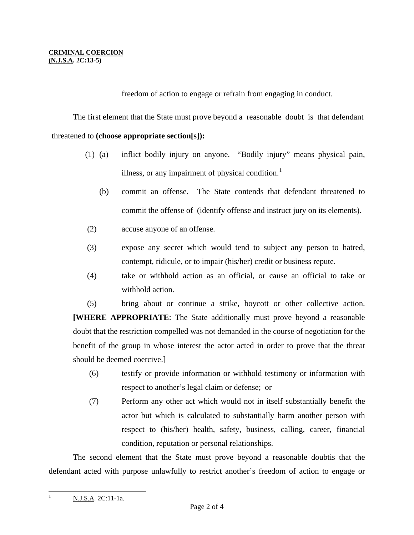freedom of action to engage or refrain from engaging in conduct.

The first element that the State must prove beyond a reasonable doubt is that defendant

### threatened to **(choose appropriate section[s]):**

- (1) (a) inflict bodily injury on anyone. "Bodily injury" means physical pain, illness, or any impairment of physical condition. $<sup>1</sup>$  $<sup>1</sup>$  $<sup>1</sup>$ </sup>
	- (b) commit an offense. The State contends that defendant threatened to commit the offense of (identify offense and instruct jury on its elements).
- (2) accuse anyone of an offense.
- (3) expose any secret which would tend to subject any person to hatred, contempt, ridicule, or to impair (his/her) credit or business repute.
- (4) take or withhold action as an official, or cause an official to take or withhold action.

 (5) bring about or continue a strike, boycott or other collective action. **[WHERE APPROPRIATE**: The State additionally must prove beyond a reasonable doubt that the restriction compelled was not demanded in the course of negotiation for the benefit of the group in whose interest the actor acted in order to prove that the threat should be deemed coercive.]

- (6) testify or provide information or withhold testimony or information with respect to another's legal claim or defense; or
- (7) Perform any other act which would not in itself substantially benefit the actor but which is calculated to substantially harm another person with respect to (his/her) health, safety, business, calling, career, financial condition, reputation or personal relationships.

<span id="page-1-0"></span> The second element that the State must prove beyond a reasonable doubtis that the defendant acted with purpose unlawfully to restrict another's freedom of action to engage or

 $\overline{a}$ 

1

N.J.S.A. 2C:11-1a.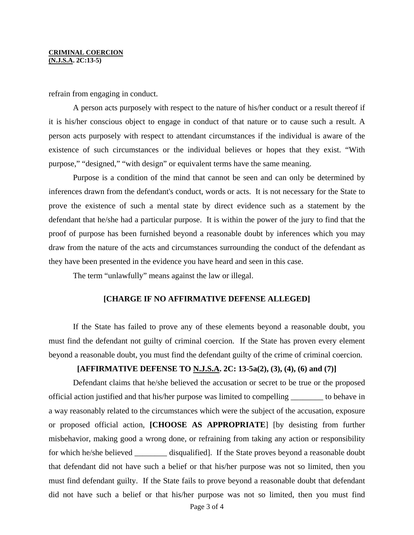#### **CRIMINAL COERCION (N.J.S.A. 2C:13-5)**

refrain from engaging in conduct.

A person acts purposely with respect to the nature of his/her conduct or a result thereof if it is his/her conscious object to engage in conduct of that nature or to cause such a result. A person acts purposely with respect to attendant circumstances if the individual is aware of the existence of such circumstances or the individual believes or hopes that they exist. "With purpose," "designed," "with design" or equivalent terms have the same meaning.

 Purpose is a condition of the mind that cannot be seen and can only be determined by inferences drawn from the defendant's conduct, words or acts. It is not necessary for the State to prove the existence of such a mental state by direct evidence such as a statement by the defendant that he/she had a particular purpose. It is within the power of the jury to find that the proof of purpose has been furnished beyond a reasonable doubt by inferences which you may draw from the nature of the acts and circumstances surrounding the conduct of the defendant as they have been presented in the evidence you have heard and seen in this case.

The term "unlawfully" means against the law or illegal.

#### **[CHARGE IF NO AFFIRMATIVE DEFENSE ALLEGED]**

 If the State has failed to prove any of these elements beyond a reasonable doubt, you must find the defendant not guilty of criminal coercion. If the State has proven every element beyond a reasonable doubt, you must find the defendant guilty of the crime of criminal coercion.

### **[AFFIRMATIVE DEFENSE TO N.J.S.A. 2C: 13-5a(2), (3), (4), (6) and (7)]**

Defendant claims that he/she believed the accusation or secret to be true or the proposed official action justified and that his/her purpose was limited to compelling \_\_\_\_\_\_\_\_ to behave in a way reasonably related to the circumstances which were the subject of the accusation, exposure or proposed official action, **[CHOOSE AS APPROPRIATE**] [by desisting from further misbehavior, making good a wrong done, or refraining from taking any action or responsibility for which he/she believed \_\_\_\_\_\_\_\_\_ disqualified]. If the State proves beyond a reasonable doubt that defendant did not have such a belief or that his/her purpose was not so limited, then you must find defendant guilty. If the State fails to prove beyond a reasonable doubt that defendant did not have such a belief or that his/her purpose was not so limited, then you must find